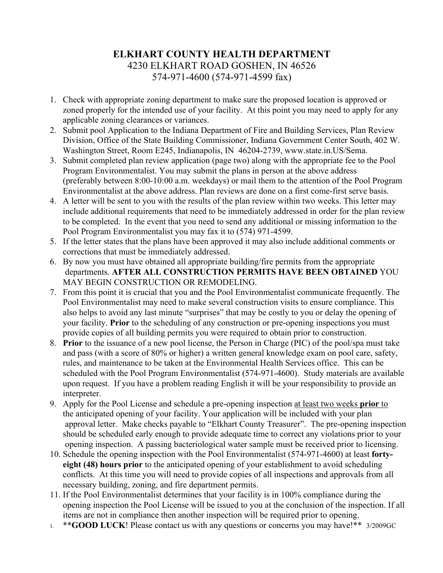## **ELKHART COUNTY HEALTH DEPARTMENT** 4230 ELKHART ROAD GOSHEN, IN 46526 574-971-4600 (574-971-4599 fax)

- 1. Check with appropriate zoning department to make sure the proposed location is approved or zoned properly for the intended use of your facility. At this point you may need to apply for any applicable zoning clearances or variances.
- 2. Submit pool Application to the Indiana Department of Fire and Building Services, Plan Review Division, Office of the State Building Commissioner, Indiana Government Center South, 402 W. Washington Street, Room E245, Indianapolis, IN 46204-2739, www.state.in.US/Sema.
- 3. Submit completed plan review application (page two) along with the appropriate fee to the Pool Program Environmentalist. You may submit the plans in person at the above address (preferably between 8:00-10:00 a.m. weekdays) or mail them to the attention of the Pool Program Environmentalist at the above address. Plan reviews are done on a first come-first serve basis.
- 4. A letter will be sent to you with the results of the plan review within two weeks. This letter may include additional requirements that need to be immediately addressed in order for the plan review to be completed. In the event that you need to send any additional or missing information to the Pool Program Environmentalist you may fax it to (574) 971-4599.
- 5. If the letter states that the plans have been approved it may also include additional comments or corrections that must be immediately addressed.
- 6. By now you must have obtained all appropriate building/fire permits from the appropriate departments. **AFTER ALL CONSTRUCTION PERMITS HAVE BEEN OBTAINED** YOU MAY BEGIN CONSTRUCTION OR REMODELING.
- 7. From this point it is crucial that you and the Pool Environmentalist communicate frequently. The Pool Environmentalist may need to make several construction visits to ensure compliance. This also helps to avoid any last minute "surprises" that may be costly to you or delay the opening of your facility. **Prior** to the scheduling of any construction or pre-opening inspections you must provide copies of all building permits you were required to obtain prior to construction.
- 8. **Prior** to the issuance of a new pool license, the Person in Charge (PIC) of the pool/spa must take and pass (with a score of 80% or higher) a written general knowledge exam on pool care, safety, rules, and maintenance to be taken at the Environmental Health Services office. This can be scheduled with the Pool Program Environmentalist (574-971-4600). Study materials are available upon request. If you have a problem reading English it will be your responsibility to provide an interpreter.
- 9. Apply for the Pool License and schedule a pre-opening inspection at least two weeks **prior** to the anticipated opening of your facility. Your application will be included with your plan approval letter. Make checks payable to "Elkhart County Treasurer". The pre-opening inspection should be scheduled early enough to provide adequate time to correct any violations prior to your opening inspection. A passing bacteriological water sample must be received prior to licensing.
- 10. Schedule the opening inspection with the Pool Environmentalist (574-971-4600) at least **fortyeight (48) hours prior** to the anticipated opening of your establishment to avoid scheduling conflicts. At this time you will need to provide copies of all inspections and approvals from all necessary building, zoning, and fire department permits.
- 11. If the Pool Environmentalist determines that your facility is in 100% compliance during the opening inspection the Pool License will be issued to you at the conclusion of the inspection. If all items are not in compliance then another inspection will be required prior to opening.
- 1. \*\***GOOD LUCK**! Please contact us with any questions or concerns you may have!\*\* 3/2009GC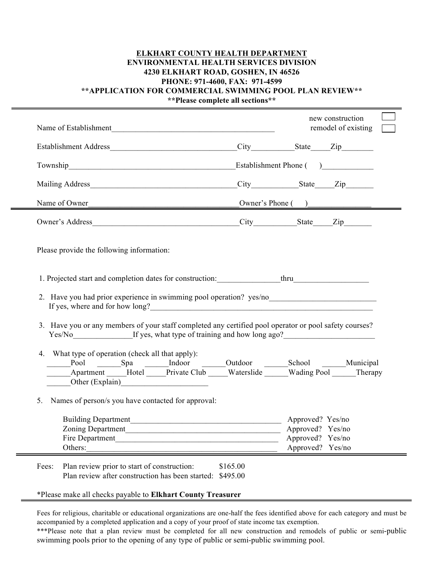## **ELKHART COUNTY HEALTH DEPARTMENT ENVIRONMENTAL HEALTH SERVICES DIVISION 4230 ELKHART ROAD, GOSHEN, IN 46526 PHONE: 971-4600, FAX: 971-4599 \*\*APPLICATION FOR COMMERCIAL SWIMMING POOL PLAN REVIEW\*\***

**\*\*Please complete all sections\*\***

| Name of Establishment                                                                                                                                                                                                                                                                                                                                                                                                                                                         |                                                                                                          |                                                                              |                        | new construction<br>remodel of existing |
|-------------------------------------------------------------------------------------------------------------------------------------------------------------------------------------------------------------------------------------------------------------------------------------------------------------------------------------------------------------------------------------------------------------------------------------------------------------------------------|----------------------------------------------------------------------------------------------------------|------------------------------------------------------------------------------|------------------------|-----------------------------------------|
|                                                                                                                                                                                                                                                                                                                                                                                                                                                                               |                                                                                                          |                                                                              |                        |                                         |
|                                                                                                                                                                                                                                                                                                                                                                                                                                                                               |                                                                                                          |                                                                              | Establishment Phone () |                                         |
|                                                                                                                                                                                                                                                                                                                                                                                                                                                                               |                                                                                                          |                                                                              |                        |                                         |
|                                                                                                                                                                                                                                                                                                                                                                                                                                                                               |                                                                                                          | Name of Owner                                                                |                        |                                         |
|                                                                                                                                                                                                                                                                                                                                                                                                                                                                               |                                                                                                          |                                                                              |                        |                                         |
| Please provide the following information:                                                                                                                                                                                                                                                                                                                                                                                                                                     |                                                                                                          |                                                                              |                        |                                         |
| 1. Projected start and completion dates for construction: thru                                                                                                                                                                                                                                                                                                                                                                                                                |                                                                                                          |                                                                              |                        |                                         |
| 2. Have you had prior experience in swimming pool operation? yes/no<br><u>examples</u> with the set of the set of the set of the set of the set of the set of the set of the set of the set of the set of the set of the set of the s<br>If yes, where and for how long?<br><u>Letting</u> the state of the state of the state of the state of the state of the state of the state of the state of the state of the state of the state of the state of the state of the state |                                                                                                          |                                                                              |                        |                                         |
| 3. Have you or any members of your staff completed any certified pool operator or pool safety courses?<br>Yes/No If yes, what type of training and how long ago?                                                                                                                                                                                                                                                                                                              |                                                                                                          |                                                                              |                        |                                         |
| 4. What type of operation (check all that apply):<br>Apartment Hotel Private Club Waterslide Wading Pool Therapy<br>Other (Explain)<br><u>Capacitan</u>                                                                                                                                                                                                                                                                                                                       | Pool Spa Indoor Outdoor School Municipal                                                                 |                                                                              |                        |                                         |
| 5.<br>Names of person/s you have contacted for approval:                                                                                                                                                                                                                                                                                                                                                                                                                      |                                                                                                          |                                                                              |                        |                                         |
| Zoning Department<br>Fire Department<br>Others:                                                                                                                                                                                                                                                                                                                                                                                                                               |                                                                                                          | Approved? Yes/no<br>Approved? Yes/no<br>Approved? Yes/no<br>Approved? Yes/no |                        |                                         |
| Fees:                                                                                                                                                                                                                                                                                                                                                                                                                                                                         | Plan review prior to start of construction:<br>Plan review after construction has been started: \$495.00 | \$165.00                                                                     |                        |                                         |

#### \*Please make all checks payable to **Elkhart County Treasurer**

Fees for religious, charitable or educational organizations are one-half the fees identified above for each category and must be accompanied by a completed application and a copy of your proof of state income tax exemption. \*\*\*Please note that a plan review must be completed for all new construction and remodels of public or semi-public swimming pools prior to the opening of any type of public or semi-public swimming pool.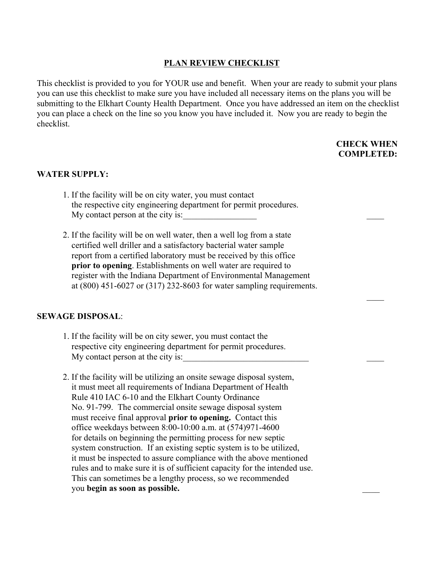## **PLAN REVIEW CHECKLIST**

This checklist is provided to you for YOUR use and benefit. When your are ready to submit your plans you can use this checklist to make sure you have included all necessary items on the plans you will be submitting to the Elkhart County Health Department. Once you have addressed an item on the checklist you can place a check on the line so you know you have included it. Now you are ready to begin the checklist.

### **CHECK WHEN COMPLETED:**

#### **WATER SUPPLY:**

- 1. If the facility will be on city water, you must contact the respective city engineering department for permit procedures. My contact person at the city is:
- 2. If the facility will be on well water, then a well log from a state certified well driller and a satisfactory bacterial water sample report from a certified laboratory must be received by this office **prior to opening**. Establishments on well water are required to register with the Indiana Department of Environmental Management at (800) 451-6027 or (317) 232-8603 for water sampling requirements.

 $\mathcal{L}_\mathcal{L}$  , the contract of the contract of the contract of the contract of the contract of the contract of the contract of the contract of the contract of the contract of the contract of the contract of the contract

#### **SEWAGE DISPOSAL**:

- 1. If the facility will be on city sewer, you must contact the respective city engineering department for permit procedures. My contact person at the city is:
- 2. If the facility will be utilizing an onsite sewage disposal system, it must meet all requirements of Indiana Department of Health Rule 410 IAC 6-10 and the Elkhart County Ordinance No. 91-799. The commercial onsite sewage disposal system must receive final approval **prior to opening.** Contact this office weekdays between 8:00-10:00 a.m. at (574)971-4600 for details on beginning the permitting process for new septic system construction. If an existing septic system is to be utilized, it must be inspected to assure compliance with the above mentioned rules and to make sure it is of sufficient capacity for the intended use. This can sometimes be a lengthy process, so we recommended you **begin as soon as possible.** \_\_\_\_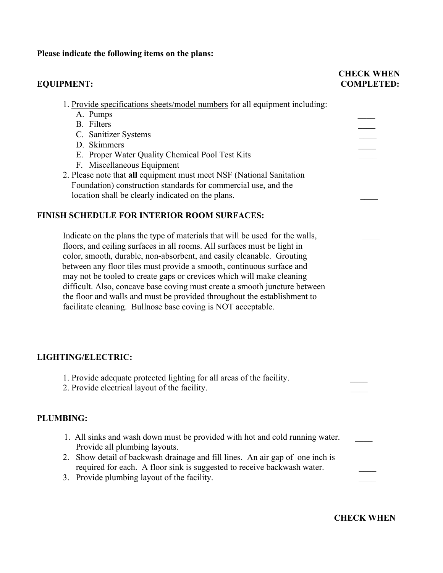## **Please indicate the following items on the plans:**

## **EQUIPMENT:**

# **CHECK WHEN**<br>**COMPLETED:**

| 1. Provide specifications sheets/model numbers for all equipment including:<br>A. Pumps<br><b>B.</b> Filters<br>C. Sanitizer Systems<br>D. Skimmers<br>E. Proper Water Quality Chemical Pool Test Kits<br>F. Miscellaneous Equipment<br>2. Please note that all equipment must meet NSF (National Sanitation<br>Foundation) construction standards for commercial use, and the<br>location shall be clearly indicated on the plans.<br><b>FINISH SCHEDULE FOR INTERIOR ROOM SURFACES:</b><br>Indicate on the plans the type of materials that will be used for the walls,<br>floors, and ceiling surfaces in all rooms. All surfaces must be light in<br>color, smooth, durable, non-absorbent, and easily cleanable. Grouting |  |
|--------------------------------------------------------------------------------------------------------------------------------------------------------------------------------------------------------------------------------------------------------------------------------------------------------------------------------------------------------------------------------------------------------------------------------------------------------------------------------------------------------------------------------------------------------------------------------------------------------------------------------------------------------------------------------------------------------------------------------|--|
| between any floor tiles must provide a smooth, continuous surface and<br>may not be tooled to create gaps or crevices which will make cleaning<br>difficult. Also, concave base coving must create a smooth juncture between<br>the floor and walls and must be provided throughout the establishment to<br>facilitate cleaning. Bullnose base coving is NOT acceptable.                                                                                                                                                                                                                                                                                                                                                       |  |
| LIGHTING/ELECTRIC:                                                                                                                                                                                                                                                                                                                                                                                                                                                                                                                                                                                                                                                                                                             |  |
| 1. Provide adequate protected lighting for all areas of the facility.<br>2. Provide electrical layout of the facility.                                                                                                                                                                                                                                                                                                                                                                                                                                                                                                                                                                                                         |  |
| <b>PLUMBING:</b>                                                                                                                                                                                                                                                                                                                                                                                                                                                                                                                                                                                                                                                                                                               |  |
| 1. All sinks and wash down must be provided with hot and cold running water.<br>Provide all plumbing layouts.<br>2. Show detail of backwash drainage and fill lines. An air gap of one inch is<br>required for each. A floor sink is suggested to receive backwash water.<br>3. Provide plumbing layout of the facility.                                                                                                                                                                                                                                                                                                                                                                                                       |  |

 **CHECK WHEN**